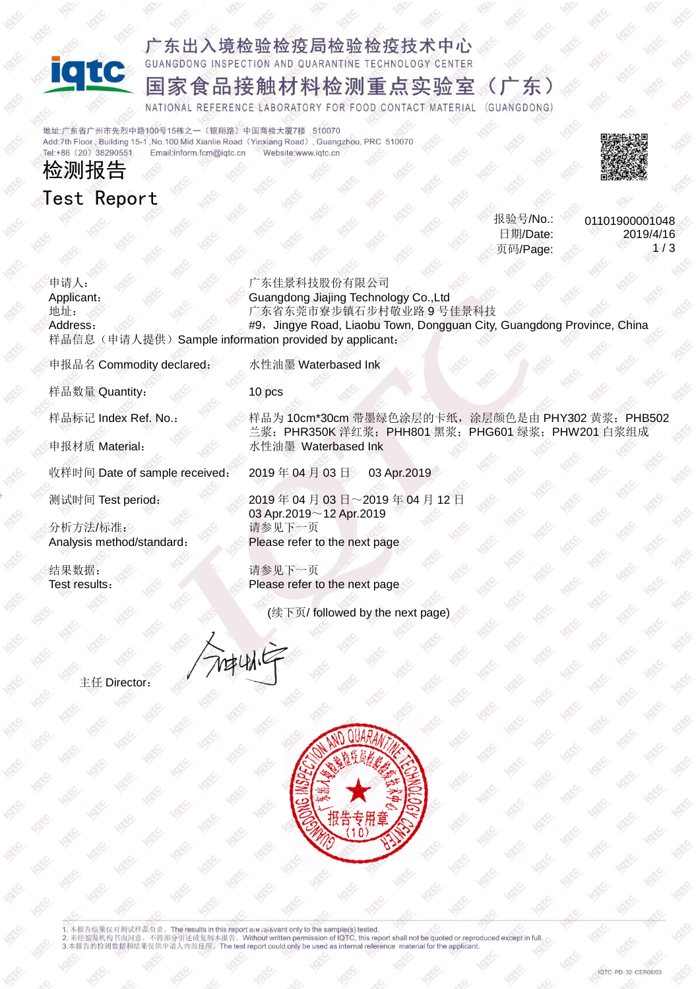

### 广东出入境检验检疫局检验检疫技术中心 GUANGDONG INSPECTION AND QUARANTINE TECHNOLOGY CENTER

## 国家食品接触材料检测重点实验室(广东)

NATIONAL REFERENCE LABORATORY FOR FOOD CONTACT MATERIAL (GUANGDONG)

地址:广东省广州市先烈中路100号15栋之一(银翔路)中国商检大厦7楼 510070 Add:7th Floor, Building 15-1, No.100 Mid Xianlie Road (Yinxiang Road), Guangzhou, PRC 510070 Tel:+86 (20) 38290551 Email:inform.fcm@igtc.cn Website:www.igtc.cn

# 检测报告 Test Report



报验号/No.: 日期/Date: 页码/Page:

01101900001048 2019/4/16  $1/3$ 

申请人: Applicant: 广东佳景科技股份有限公司 Guangdong Jiajing Technology Co.,Ltd 地址: Address: 广东省东莞市寮步镇石步村敬业路 9 号佳景科技 #9, Jingye Road, Liaobu Town, Dongguan City, Guangdong Province, China 样品信息(申请人提供) Sample information provided by applicant:

申报品名 Commodity declared: 水性油墨 Waterbased Ink

样品数量 Quantity: 10 pcs

分析方法/标准: Analysis method/standard:

结果数据: Test results:

样品标记 Index Ref. No.: 样品为 10cm\*30cm 带墨绿色涂层的卡纸,涂层颜色是由 PHY302 黄浆; PHB502 兰浆; PHR350K 洋红浆; PHH801 黑浆; PHG601 绿浆; PHW201 白浆组成 申报材质 Material: 水性油墨 Waterbased Ink

收样时间 Date of sample received: 2019年 04月 03日 03 Apr.2019

测试时间 Test period: 2019年 04月 03日~2019年 04月 12日 03 Apr.2019~12 Apr.2019 请参见下一页 Please refer to the next page

> 请参见下一页 Please refer to the next page

> > (续下页/ followed by the next page)

神仙宇

主任 Director:



1. 本报告结果仅对测试样品负责。The results in this report are rasevant only to the sample(s) tested.<br>2. 未经签发机构书面同意,不得部分引述或复制本报告。Without written permission of IQTC, this report shall not be quoted or reproduced except in full.<br>3.本报告的检测数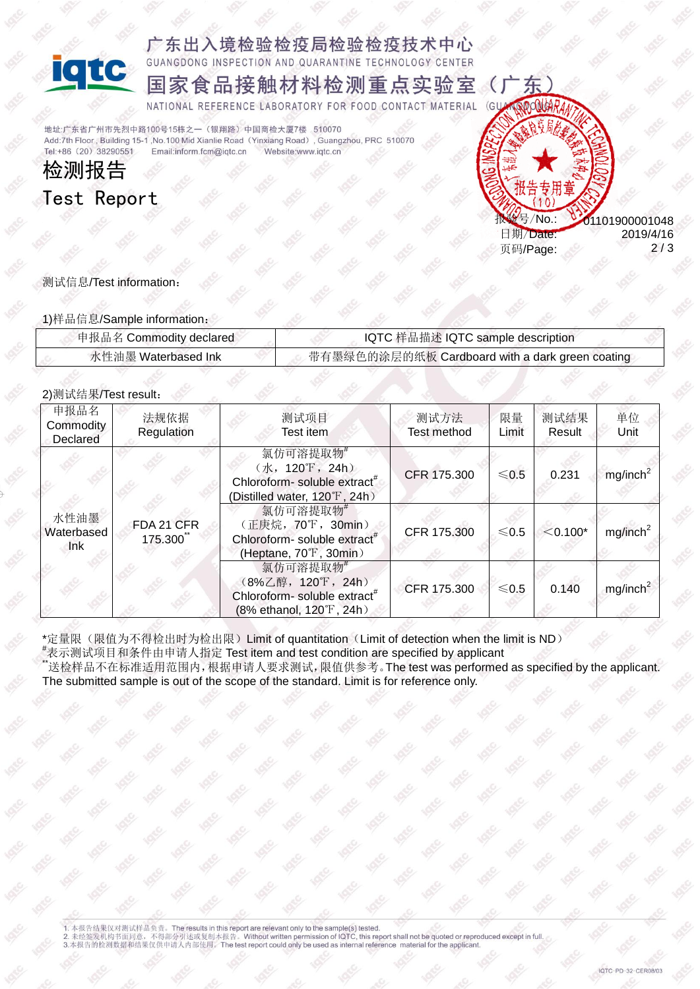

广东出入境检验检疫局检验检疫技术中心 NGDONG INSPECTION AND QUARANTINE TECHNOLOGY CENTER

国家食品接触材料检测重点实验室  $\overline{C}$ 

NATIONAL REFERENCE LABORATORY FOR FOOD CONTACT MATERIAL  $\overline{G}$ 

**经总管理**/No.:

地址:广东省广州市先烈中路100号15栋之一(银翔路)中国商检大厦7楼 510070 Add:7th Floor, Building 15-1, No.100 Mid Xianlie Road (Yinxiang Road), Guangzhou, PRC 510070 Tel:+86 (20) 38290551 Email:inform.fcm@iqtc.cn Website:www.igtc.cn

检测报告 Test Report



1)样品信息/Sample information:

| 伸报品名 Commodity declared | IQTC 样品描述 IQTC sample description               |  |  |
|-------------------------|-------------------------------------------------|--|--|
| 水性油墨 Waterbased Ink     | 带有墨绿色的涂层的纸板 Cardboard with a dark green coating |  |  |

日期/Date: 页码/Page: 01101900001048

2019/4/16 2 / 3

#### 2)测试结果/Test result:

| 申报品名<br>Commodity<br>Declared | 法规依据<br>Regulation    | 测试项目<br>Test item                                                                                      | 测试方法<br><b>Test method</b> | 限量<br>Limit | 测试结果<br>Result | 单位<br>Unit           |
|-------------------------------|-----------------------|--------------------------------------------------------------------------------------------------------|----------------------------|-------------|----------------|----------------------|
| 水性油墨<br>Waterbased<br>Ink     |                       | 氯仿可溶提取物#<br>(水,120°F,24h)<br>Chloroform- soluble extract <sup>#</sup><br>(Distilled water, 120°F, 24h) | CFR 175.300                | $≤0.5$      | 0.231          | mg/inch <sup>2</sup> |
|                               | FDA 21 CFR<br>175.300 | 氯仿可溶提取物#<br>(正庚烷, 70°F, 30min)<br>Chloroform- soluble extract <sup>#</sup><br>(Heptane, 70°F, 30min)   | CFR 175.300                | $≤0.5$      | $< 0.100*$     | mg/inch <sup>2</sup> |
|                               |                       | 氯仿可溶提取物#<br>(8%乙醇, 120°F, 24h)<br>Chloroform-soluble extract <sup>#</sup><br>(8% ethanol, 120°F, 24h)  | CFR 175.300                | $≤0.5$      | 0.140          | mg/inch <sup>2</sup> |

\*定量限(限值为不得检出时为检出限)Limit of quantitation(Limit of detection when the limit is ND)<br>\*表示测试项目和条件由申请人指定 Test item and test condition are specified by applicant

\*<br>送检样品不在标准适用范围内,根据申请人要求测试,限值供参考。The test was performed as specified by the applicant. The submitted sample is out of the scope of the standard. Limit is for reference only.

1. 本报告结果仅对测试样品负责。The results in this report are relevant only to the sample(s) tested.<br>2. 未经签发机构书面同意,不得部分引述或复制本报告。Without written permission of IQTC, this report shall not be quoted or reproduced except in full.<br>3.本报告的检测数